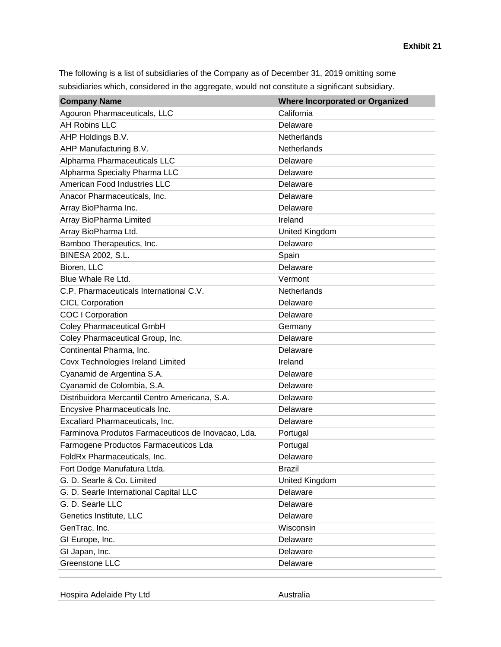The following is a list of subsidiaries of the Company as of December 31, 2019 omitting some subsidiaries which, considered in the aggregate, would not constitute a significant subsidiary.

| Agouron Pharmaceuticals, LLC<br>California<br><b>AH Robins LLC</b><br>Delaware<br>AHP Holdings B.V.<br><b>Netherlands</b><br>AHP Manufacturing B.V.<br>Netherlands<br>Alpharma Pharmaceuticals LLC<br>Delaware<br>Alpharma Specialty Pharma LLC<br>Delaware<br>American Food Industries LLC<br>Delaware<br>Anacor Pharmaceuticals, Inc.<br>Delaware<br>Array BioPharma Inc.<br>Delaware<br>Array BioPharma Limited<br>Ireland<br>Array BioPharma Ltd.<br>United Kingdom | <b>Company Name</b> | <b>Where Incorporated or Organized</b> |
|-------------------------------------------------------------------------------------------------------------------------------------------------------------------------------------------------------------------------------------------------------------------------------------------------------------------------------------------------------------------------------------------------------------------------------------------------------------------------|---------------------|----------------------------------------|
|                                                                                                                                                                                                                                                                                                                                                                                                                                                                         |                     |                                        |
|                                                                                                                                                                                                                                                                                                                                                                                                                                                                         |                     |                                        |
|                                                                                                                                                                                                                                                                                                                                                                                                                                                                         |                     |                                        |
|                                                                                                                                                                                                                                                                                                                                                                                                                                                                         |                     |                                        |
|                                                                                                                                                                                                                                                                                                                                                                                                                                                                         |                     |                                        |
|                                                                                                                                                                                                                                                                                                                                                                                                                                                                         |                     |                                        |
|                                                                                                                                                                                                                                                                                                                                                                                                                                                                         |                     |                                        |
|                                                                                                                                                                                                                                                                                                                                                                                                                                                                         |                     |                                        |
|                                                                                                                                                                                                                                                                                                                                                                                                                                                                         |                     |                                        |
|                                                                                                                                                                                                                                                                                                                                                                                                                                                                         |                     |                                        |
|                                                                                                                                                                                                                                                                                                                                                                                                                                                                         |                     |                                        |
| Bamboo Therapeutics, Inc.<br>Delaware                                                                                                                                                                                                                                                                                                                                                                                                                                   |                     |                                        |
| <b>BINESA 2002, S.L.</b><br>Spain                                                                                                                                                                                                                                                                                                                                                                                                                                       |                     |                                        |
| Bioren, LLC<br>Delaware                                                                                                                                                                                                                                                                                                                                                                                                                                                 |                     |                                        |
| Blue Whale Re Ltd.<br>Vermont                                                                                                                                                                                                                                                                                                                                                                                                                                           |                     |                                        |
| C.P. Pharmaceuticals International C.V.<br>Netherlands                                                                                                                                                                                                                                                                                                                                                                                                                  |                     |                                        |
| <b>CICL Corporation</b><br>Delaware                                                                                                                                                                                                                                                                                                                                                                                                                                     |                     |                                        |
| <b>COC I Corporation</b><br>Delaware                                                                                                                                                                                                                                                                                                                                                                                                                                    |                     |                                        |
| <b>Coley Pharmaceutical GmbH</b><br>Germany                                                                                                                                                                                                                                                                                                                                                                                                                             |                     |                                        |
| Coley Pharmaceutical Group, Inc.<br>Delaware                                                                                                                                                                                                                                                                                                                                                                                                                            |                     |                                        |
| Continental Pharma, Inc.<br>Delaware                                                                                                                                                                                                                                                                                                                                                                                                                                    |                     |                                        |
| Covx Technologies Ireland Limited<br>Ireland                                                                                                                                                                                                                                                                                                                                                                                                                            |                     |                                        |
| Cyanamid de Argentina S.A.<br>Delaware                                                                                                                                                                                                                                                                                                                                                                                                                                  |                     |                                        |
| Cyanamid de Colombia, S.A.<br>Delaware                                                                                                                                                                                                                                                                                                                                                                                                                                  |                     |                                        |
| Distribuidora Mercantil Centro Americana, S.A.<br>Delaware                                                                                                                                                                                                                                                                                                                                                                                                              |                     |                                        |
| Encysive Pharmaceuticals Inc.<br>Delaware                                                                                                                                                                                                                                                                                                                                                                                                                               |                     |                                        |
| Excaliard Pharmaceuticals, Inc.<br>Delaware                                                                                                                                                                                                                                                                                                                                                                                                                             |                     |                                        |
| Farminova Produtos Farmaceuticos de Inovacao, Lda.<br>Portugal                                                                                                                                                                                                                                                                                                                                                                                                          |                     |                                        |
| Farmogene Productos Farmaceuticos Lda<br>Portugal                                                                                                                                                                                                                                                                                                                                                                                                                       |                     |                                        |
| FoldRx Pharmaceuticals, Inc.<br>Delaware                                                                                                                                                                                                                                                                                                                                                                                                                                |                     |                                        |
| <b>Brazil</b><br>Fort Dodge Manufatura Ltda.                                                                                                                                                                                                                                                                                                                                                                                                                            |                     |                                        |
| G. D. Searle & Co. Limited<br>United Kingdom                                                                                                                                                                                                                                                                                                                                                                                                                            |                     |                                        |
| G. D. Searle International Capital LLC<br>Delaware                                                                                                                                                                                                                                                                                                                                                                                                                      |                     |                                        |
| G. D. Searle LLC<br>Delaware                                                                                                                                                                                                                                                                                                                                                                                                                                            |                     |                                        |
| Genetics Institute, LLC<br>Delaware                                                                                                                                                                                                                                                                                                                                                                                                                                     |                     |                                        |
| GenTrac, Inc.<br>Wisconsin                                                                                                                                                                                                                                                                                                                                                                                                                                              |                     |                                        |
| GI Europe, Inc.<br>Delaware                                                                                                                                                                                                                                                                                                                                                                                                                                             |                     |                                        |
| GI Japan, Inc.<br>Delaware                                                                                                                                                                                                                                                                                                                                                                                                                                              |                     |                                        |
| Greenstone LLC<br>Delaware                                                                                                                                                                                                                                                                                                                                                                                                                                              |                     |                                        |

Hospira Adelaide Pty Ltd **Australia** Australia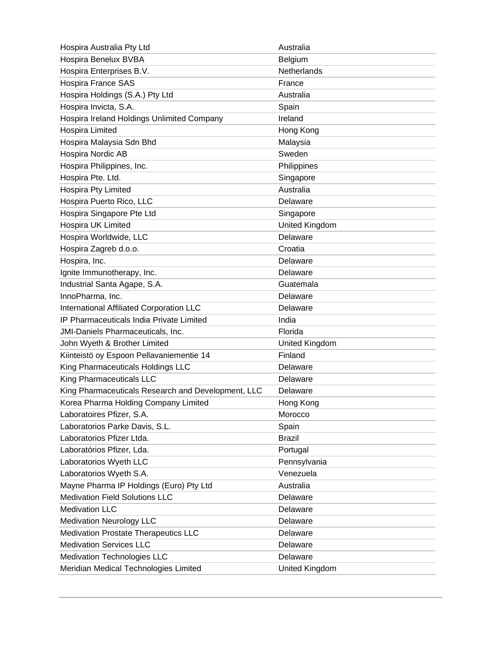| Hospira Australia Pty Ltd                          | Australia      |
|----------------------------------------------------|----------------|
| Hospira Benelux BVBA                               | Belgium        |
| Hospira Enterprises B.V.                           | Netherlands    |
| Hospira France SAS                                 | France         |
| Hospira Holdings (S.A.) Pty Ltd                    | Australia      |
| Hospira Invicta, S.A.                              | Spain          |
| Hospira Ireland Holdings Unlimited Company         | Ireland        |
| Hospira Limited                                    | Hong Kong      |
| Hospira Malaysia Sdn Bhd                           | Malaysia       |
| Hospira Nordic AB                                  | Sweden         |
| Hospira Philippines, Inc.                          | Philippines    |
| Hospira Pte. Ltd.                                  | Singapore      |
| Hospira Pty Limited                                | Australia      |
| Hospira Puerto Rico, LLC                           | Delaware       |
| Hospira Singapore Pte Ltd                          | Singapore      |
| Hospira UK Limited                                 | United Kingdom |
| Hospira Worldwide, LLC                             | Delaware       |
| Hospira Zagreb d.o.o.                              | Croatia        |
| Hospira, Inc.                                      | Delaware       |
| Ignite Immunotherapy, Inc.                         | Delaware       |
| Industrial Santa Agape, S.A.                       | Guatemala      |
| InnoPharma, Inc.                                   | Delaware       |
| <b>International Affiliated Corporation LLC</b>    | Delaware       |
| IP Pharmaceuticals India Private Limited           | India          |
| JMI-Daniels Pharmaceuticals, Inc.                  | Florida        |
| John Wyeth & Brother Limited                       | United Kingdom |
| Kiinteistö oy Espoon Pellavaniementie 14           | Finland        |
| King Pharmaceuticals Holdings LLC                  | Delaware       |
| King Pharmaceuticals LLC                           | Delaware       |
| King Pharmaceuticals Research and Development, LLC | Delaware       |
| Korea Pharma Holding Company Limited               | Hong Kong      |
| Laboratoires Pfizer, S.A.                          | Morocco        |
| Laboratorios Parke Davis, S.L.                     | Spain          |
| Laboratorios Pfizer Ltda.                          | <b>Brazil</b>  |
| Laboratórios Pfizer, Lda.                          | Portugal       |
| Laboratorios Wyeth LLC                             | Pennsylvania   |
| Laboratorios Wyeth S.A.                            | Venezuela      |
| Mayne Pharma IP Holdings (Euro) Pty Ltd            | Australia      |
| <b>Medivation Field Solutions LLC</b>              | Delaware       |
| <b>Medivation LLC</b>                              | Delaware       |
| <b>Medivation Neurology LLC</b>                    | Delaware       |
| <b>Medivation Prostate Therapeutics LLC</b>        | Delaware       |
| <b>Medivation Services LLC</b>                     | Delaware       |
| <b>Medivation Technologies LLC</b>                 | Delaware       |
| Meridian Medical Technologies Limited              | United Kingdom |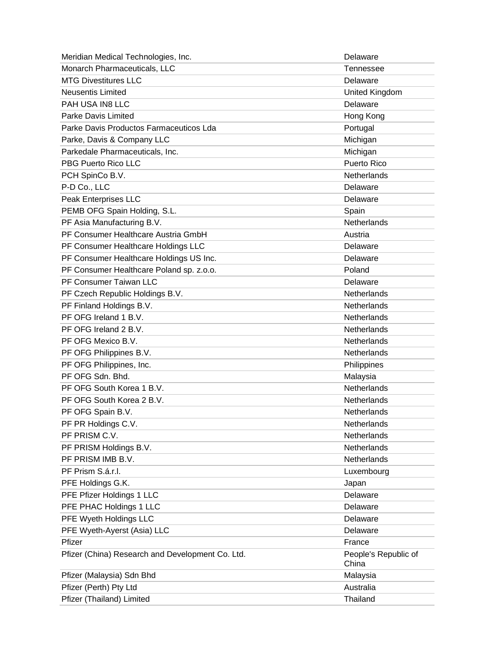| Meridian Medical Technologies, Inc.              | Delaware                      |
|--------------------------------------------------|-------------------------------|
| Monarch Pharmaceuticals, LLC                     | Tennessee                     |
| <b>MTG Divestitures LLC</b>                      | Delaware                      |
| <b>Neusentis Limited</b>                         | United Kingdom                |
| PAH USA IN8 LLC                                  | Delaware                      |
| <b>Parke Davis Limited</b>                       | Hong Kong                     |
| Parke Davis Productos Farmaceuticos Lda          | Portugal                      |
| Parke, Davis & Company LLC                       | Michigan                      |
| Parkedale Pharmaceuticals, Inc.                  | Michigan                      |
| <b>PBG Puerto Rico LLC</b>                       | Puerto Rico                   |
| PCH SpinCo B.V.                                  | <b>Netherlands</b>            |
| P-D Co., LLC                                     | Delaware                      |
| Peak Enterprises LLC                             | Delaware                      |
| PEMB OFG Spain Holding, S.L.                     | Spain                         |
| PF Asia Manufacturing B.V.                       | Netherlands                   |
| PF Consumer Healthcare Austria GmbH              | Austria                       |
| PF Consumer Healthcare Holdings LLC              | Delaware                      |
| PF Consumer Healthcare Holdings US Inc.          | Delaware                      |
| PF Consumer Healthcare Poland sp. z.o.o.         | Poland                        |
| PF Consumer Taiwan LLC                           | Delaware                      |
| PF Czech Republic Holdings B.V.                  | <b>Netherlands</b>            |
| PF Finland Holdings B.V.                         | <b>Netherlands</b>            |
| PF OFG Ireland 1 B.V.                            | <b>Netherlands</b>            |
| PF OFG Ireland 2 B.V.                            | Netherlands                   |
| PF OFG Mexico B.V.                               | Netherlands                   |
| PF OFG Philippines B.V.                          | <b>Netherlands</b>            |
| PF OFG Philippines, Inc.                         | Philippines                   |
| PF OFG Sdn. Bhd.                                 | Malaysia                      |
| PF OFG South Korea 1 B.V.                        | Netherlands                   |
| PF OFG South Korea 2 B.V.                        | Netherlands                   |
| PF OFG Spain B.V.                                | Netherlands                   |
| PF PR Holdings C.V.                              | Netherlands                   |
| PF PRISM C.V.                                    | Netherlands                   |
| PF PRISM Holdings B.V.                           | Netherlands                   |
| PF PRISM IMB B.V.                                | <b>Netherlands</b>            |
| PF Prism S.á.r.l.                                | Luxembourg                    |
| PFE Holdings G.K.                                | Japan                         |
| PFE Pfizer Holdings 1 LLC                        | Delaware                      |
| PFE PHAC Holdings 1 LLC                          | Delaware                      |
| PFE Wyeth Holdings LLC                           | Delaware                      |
| PFE Wyeth-Ayerst (Asia) LLC                      | Delaware                      |
| Pfizer                                           | France                        |
| Pfizer (China) Research and Development Co. Ltd. | People's Republic of<br>China |
| Pfizer (Malaysia) Sdn Bhd                        | Malaysia                      |
| Pfizer (Perth) Pty Ltd                           | Australia                     |
| Pfizer (Thailand) Limited                        | Thailand                      |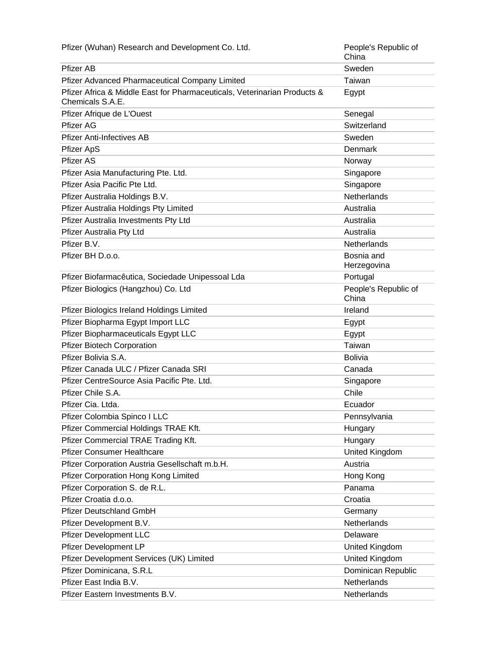| Pfizer (Wuhan) Research and Development Co. Ltd.                                             | People's Republic of<br>China |
|----------------------------------------------------------------------------------------------|-------------------------------|
| <b>Pfizer AB</b>                                                                             | Sweden                        |
| Pfizer Advanced Pharmaceutical Company Limited                                               | Taiwan                        |
| Pfizer Africa & Middle East for Pharmaceuticals, Veterinarian Products &<br>Chemicals S.A.E. | Egypt                         |
| Pfizer Afrique de L'Ouest                                                                    | Senegal                       |
| <b>Pfizer AG</b>                                                                             | Switzerland                   |
| <b>Pfizer Anti-Infectives AB</b>                                                             | Sweden                        |
| Pfizer ApS                                                                                   | Denmark                       |
| <b>Pfizer AS</b>                                                                             | Norway                        |
| Pfizer Asia Manufacturing Pte. Ltd.                                                          | Singapore                     |
| Pfizer Asia Pacific Pte Ltd.                                                                 | Singapore                     |
| Pfizer Australia Holdings B.V.                                                               | <b>Netherlands</b>            |
| Pfizer Australia Holdings Pty Limited                                                        | Australia                     |
| Pfizer Australia Investments Pty Ltd                                                         | Australia                     |
| Pfizer Australia Pty Ltd                                                                     | Australia                     |
| Pfizer B.V.                                                                                  | Netherlands                   |
| Pfizer BH D.o.o.                                                                             | Bosnia and<br>Herzegovina     |
| Pfizer Biofarmacêutica, Sociedade Unipessoal Lda                                             | Portugal                      |
| Pfizer Biologics (Hangzhou) Co. Ltd                                                          | People's Republic of<br>China |
| Pfizer Biologics Ireland Holdings Limited                                                    | Ireland                       |
| Pfizer Biopharma Egypt Import LLC                                                            | Egypt                         |
| Pfizer Biopharmaceuticals Egypt LLC                                                          | Egypt                         |
| <b>Pfizer Biotech Corporation</b>                                                            | Taiwan                        |
| Pfizer Bolivia S.A.                                                                          | <b>Bolivia</b>                |
| Pfizer Canada ULC / Pfizer Canada SRI                                                        | Canada                        |
| Pfizer CentreSource Asia Pacific Pte. Ltd.                                                   | Singapore                     |
| Pfizer Chile S.A.                                                                            | Chile                         |
| Pfizer Cia. Ltda.                                                                            | Ecuador                       |
| Pfizer Colombia Spinco I LLC                                                                 | Pennsylvania                  |
| Pfizer Commercial Holdings TRAE Kft.                                                         | Hungary                       |
| Pfizer Commercial TRAE Trading Kft.                                                          | Hungary                       |
| <b>Pfizer Consumer Healthcare</b>                                                            | United Kingdom                |
| Pfizer Corporation Austria Gesellschaft m.b.H.                                               | Austria                       |
| Pfizer Corporation Hong Kong Limited                                                         | Hong Kong                     |
| Pfizer Corporation S. de R.L.                                                                | Panama                        |
| Pfizer Croatia d.o.o.                                                                        | Croatia                       |
| <b>Pfizer Deutschland GmbH</b>                                                               | Germany                       |
| Pfizer Development B.V.                                                                      | Netherlands                   |
| <b>Pfizer Development LLC</b>                                                                | Delaware                      |
| Pfizer Development LP                                                                        | United Kingdom                |
| Pfizer Development Services (UK) Limited                                                     | United Kingdom                |
| Pfizer Dominicana, S.R.L                                                                     | Dominican Republic            |
| Pfizer East India B.V.                                                                       | Netherlands                   |
| Pfizer Eastern Investments B.V.                                                              | Netherlands                   |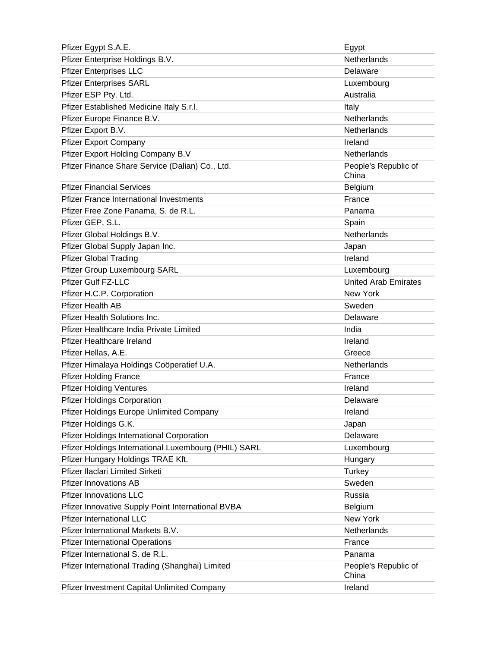| Pfizer Egypt S.A.E.                                  | Egypt                         |
|------------------------------------------------------|-------------------------------|
| Pfizer Enterprise Holdings B.V.                      | Netherlands                   |
| <b>Pfizer Enterprises LLC</b>                        | Delaware                      |
| <b>Pfizer Enterprises SARL</b>                       | Luxembourg                    |
| Pfizer ESP Pty. Ltd.                                 | Australia                     |
| Pfizer Established Medicine Italy S.r.l.             | Italy                         |
| Pfizer Europe Finance B.V.                           | Netherlands                   |
| Pfizer Export B.V.                                   | <b>Netherlands</b>            |
| <b>Pfizer Export Company</b>                         | Ireland                       |
| Pfizer Export Holding Company B.V                    | Netherlands                   |
| Pfizer Finance Share Service (Dalian) Co., Ltd.      | People's Republic of<br>China |
| <b>Pfizer Financial Services</b>                     | Belgium                       |
| <b>Pfizer France International Investments</b>       | France                        |
| Pfizer Free Zone Panama, S. de R.L.                  | Panama                        |
| Pfizer GEP, S.L.                                     | Spain                         |
| Pfizer Global Holdings B.V.                          | Netherlands                   |
| Pfizer Global Supply Japan Inc.                      | Japan                         |
| <b>Pfizer Global Trading</b>                         | Ireland                       |
| Pfizer Group Luxembourg SARL                         | Luxembourg                    |
| <b>Pfizer Gulf FZ-LLC</b>                            | <b>United Arab Emirates</b>   |
| Pfizer H.C.P. Corporation                            | New York                      |
| <b>Pfizer Health AB</b>                              | Sweden                        |
| Pfizer Health Solutions Inc.                         | Delaware                      |
| Pfizer Healthcare India Private Limited              | India                         |
| <b>Pfizer Healthcare Ireland</b>                     | Ireland                       |
| Pfizer Hellas, A.E.                                  | Greece                        |
| Pfizer Himalaya Holdings Coöperatief U.A.            | Netherlands                   |
| <b>Pfizer Holding France</b>                         | France                        |
| <b>Pfizer Holding Ventures</b>                       | Ireland                       |
| <b>Pfizer Holdings Corporation</b>                   | Delaware                      |
| Pfizer Holdings Europe Unlimited Company             | Ireland                       |
| Pfizer Holdings G.K.                                 | Japan                         |
| Pfizer Holdings International Corporation            | Delaware                      |
| Pfizer Holdings International Luxembourg (PHIL) SARL | Luxembourg                    |
| Pfizer Hungary Holdings TRAE Kft.                    | Hungary                       |
| Pfizer Ilaclari Limited Sirketi                      | Turkey                        |
| <b>Pfizer Innovations AB</b>                         | Sweden                        |
| <b>Pfizer Innovations LLC</b>                        | Russia                        |
| Pfizer Innovative Supply Point International BVBA    | Belgium                       |
| <b>Pfizer International LLC</b>                      | New York                      |
| Pfizer International Markets B.V.                    | Netherlands                   |
| <b>Pfizer International Operations</b>               | France                        |
| Pfizer International S. de R.L.                      | Panama                        |
| Pfizer International Trading (Shanghai) Limited      | People's Republic of<br>China |
| Pfizer Investment Capital Unlimited Company          | Ireland                       |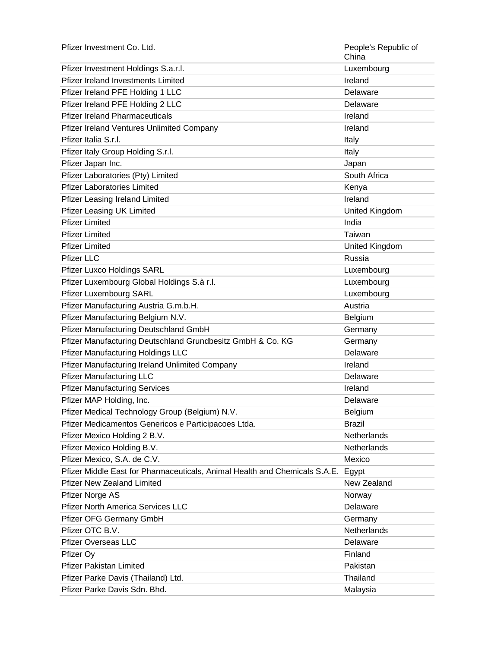| Pfizer Investment Co. Ltd.                                                 | People's Republic of<br>China |
|----------------------------------------------------------------------------|-------------------------------|
| Pfizer Investment Holdings S.a.r.l.                                        | Luxembourg                    |
| <b>Pfizer Ireland Investments Limited</b>                                  | Ireland                       |
| Pfizer Ireland PFE Holding 1 LLC                                           | Delaware                      |
| Pfizer Ireland PFE Holding 2 LLC                                           | Delaware                      |
| <b>Pfizer Ireland Pharmaceuticals</b>                                      | Ireland                       |
| Pfizer Ireland Ventures Unlimited Company                                  | Ireland                       |
| Pfizer Italia S.r.I.                                                       | Italy                         |
| Pfizer Italy Group Holding S.r.l.                                          | Italy                         |
| Pfizer Japan Inc.                                                          | Japan                         |
| Pfizer Laboratories (Pty) Limited                                          | South Africa                  |
| <b>Pfizer Laboratories Limited</b>                                         | Kenya                         |
| <b>Pfizer Leasing Ireland Limited</b>                                      | Ireland                       |
| <b>Pfizer Leasing UK Limited</b>                                           | United Kingdom                |
| <b>Pfizer Limited</b>                                                      | India                         |
| <b>Pfizer Limited</b>                                                      | Taiwan                        |
| <b>Pfizer Limited</b>                                                      | United Kingdom                |
| <b>Pfizer LLC</b>                                                          | Russia                        |
| Pfizer Luxco Holdings SARL                                                 | Luxembourg                    |
| Pfizer Luxembourg Global Holdings S.à r.l.                                 | Luxembourg                    |
| Pfizer Luxembourg SARL                                                     | Luxembourg                    |
| Pfizer Manufacturing Austria G.m.b.H.                                      | Austria                       |
| Pfizer Manufacturing Belgium N.V.                                          | Belgium                       |
| Pfizer Manufacturing Deutschland GmbH                                      | Germany                       |
| Pfizer Manufacturing Deutschland Grundbesitz GmbH & Co. KG                 | Germany                       |
| <b>Pfizer Manufacturing Holdings LLC</b>                                   | Delaware                      |
| Pfizer Manufacturing Ireland Unlimited Company                             | Ireland                       |
| <b>Pfizer Manufacturing LLC</b>                                            | Delaware                      |
| <b>Pfizer Manufacturing Services</b>                                       | Ireland                       |
| Pfizer MAP Holding, Inc.                                                   | Delaware                      |
| Pfizer Medical Technology Group (Belgium) N.V.                             | Belgium                       |
| Pfizer Medicamentos Genericos e Participacoes Ltda.                        | <b>Brazil</b>                 |
| Pfizer Mexico Holding 2 B.V.                                               | Netherlands                   |
| Pfizer Mexico Holding B.V.                                                 | Netherlands                   |
| Pfizer Mexico, S.A. de C.V.                                                | Mexico                        |
| Pfizer Middle East for Pharmaceuticals, Animal Health and Chemicals S.A.E. | Egypt                         |
| <b>Pfizer New Zealand Limited</b>                                          | New Zealand                   |
| Pfizer Norge AS                                                            | Norway                        |
| <b>Pfizer North America Services LLC</b>                                   | Delaware                      |
| Pfizer OFG Germany GmbH                                                    | Germany                       |
| Pfizer OTC B.V.                                                            | Netherlands                   |
| <b>Pfizer Overseas LLC</b>                                                 | Delaware                      |
| Pfizer Oy                                                                  | Finland                       |
| <b>Pfizer Pakistan Limited</b>                                             | Pakistan                      |
| Pfizer Parke Davis (Thailand) Ltd.                                         | Thailand                      |
| Pfizer Parke Davis Sdn. Bhd.                                               | Malaysia                      |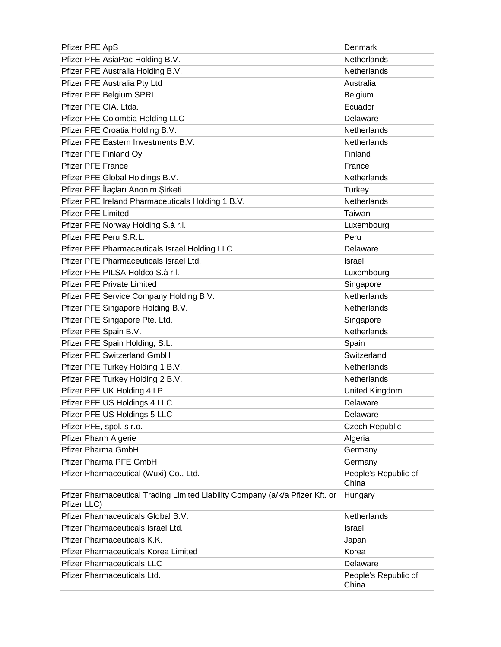| Pfizer PFE ApS                                                                               | Denmark                       |
|----------------------------------------------------------------------------------------------|-------------------------------|
| Pfizer PFE AsiaPac Holding B.V.                                                              | Netherlands                   |
| Pfizer PFE Australia Holding B.V.                                                            | Netherlands                   |
| Pfizer PFE Australia Pty Ltd                                                                 | Australia                     |
| Pfizer PFE Belgium SPRL                                                                      | Belgium                       |
| Pfizer PFE CIA, Ltda.                                                                        | Ecuador                       |
| Pfizer PFE Colombia Holding LLC                                                              | Delaware                      |
| Pfizer PFE Croatia Holding B.V.                                                              | Netherlands                   |
| Pfizer PFE Eastern Investments B.V.                                                          | <b>Netherlands</b>            |
| Pfizer PFE Finland Oy                                                                        | Finland                       |
| <b>Pfizer PFE France</b>                                                                     | France                        |
| Pfizer PFE Global Holdings B.V.                                                              | Netherlands                   |
| Pfizer PFE İlaçları Anonim Şirketi                                                           | Turkey                        |
| Pfizer PFE Ireland Pharmaceuticals Holding 1 B.V.                                            | Netherlands                   |
| <b>Pfizer PFE Limited</b>                                                                    | Taiwan                        |
| Pfizer PFE Norway Holding S.à r.l.                                                           | Luxembourg                    |
| Pfizer PFE Peru S.R.L.                                                                       | Peru                          |
| Pfizer PFE Pharmaceuticals Israel Holding LLC                                                | Delaware                      |
| Pfizer PFE Pharmaceuticals Israel Ltd.                                                       | Israel                        |
| Pfizer PFE PILSA Holdco S.à r.l.                                                             | Luxembourg                    |
| <b>Pfizer PFE Private Limited</b>                                                            | Singapore                     |
| Pfizer PFE Service Company Holding B.V.                                                      | <b>Netherlands</b>            |
| Pfizer PFE Singapore Holding B.V.                                                            | Netherlands                   |
| Pfizer PFE Singapore Pte. Ltd.                                                               | Singapore                     |
| Pfizer PFE Spain B.V.                                                                        | <b>Netherlands</b>            |
| Pfizer PFE Spain Holding, S.L.                                                               | Spain                         |
| <b>Pfizer PFE Switzerland GmbH</b>                                                           | Switzerland                   |
| Pfizer PFE Turkey Holding 1 B.V.                                                             | Netherlands                   |
| Pfizer PFE Turkey Holding 2 B.V.                                                             | Netherlands                   |
| Pfizer PFE UK Holding 4 LP                                                                   | United Kingdom                |
| Pfizer PFE US Holdings 4 LLC                                                                 | Delaware                      |
| Pfizer PFE US Holdings 5 LLC                                                                 | Delaware                      |
| Pfizer PFE, spol. s r.o.                                                                     | <b>Czech Republic</b>         |
| <b>Pfizer Pharm Algerie</b>                                                                  | Algeria                       |
| Pfizer Pharma GmbH                                                                           | Germany                       |
| Pfizer Pharma PFE GmbH                                                                       | Germany                       |
| Pfizer Pharmaceutical (Wuxi) Co., Ltd.                                                       | People's Republic of<br>China |
| Pfizer Pharmaceutical Trading Limited Liability Company (a/k/a Pfizer Kft. or<br>Pfizer LLC) | Hungary                       |
| Pfizer Pharmaceuticals Global B.V.                                                           | Netherlands                   |
| Pfizer Pharmaceuticals Israel Ltd.                                                           | Israel                        |
| Pfizer Pharmaceuticals K.K.                                                                  | Japan                         |
| <b>Pfizer Pharmaceuticals Korea Limited</b>                                                  | Korea                         |
| <b>Pfizer Pharmaceuticals LLC</b>                                                            | Delaware                      |
| Pfizer Pharmaceuticals Ltd.                                                                  | People's Republic of<br>China |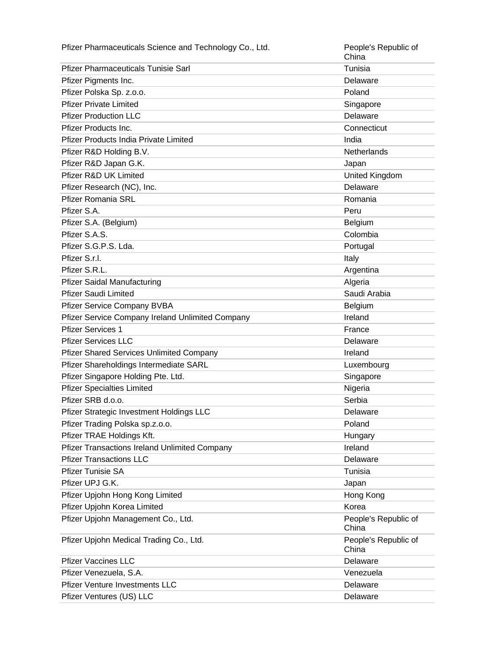| Pfizer Pharmaceuticals Science and Technology Co., Ltd. | People's Republic of<br>China |
|---------------------------------------------------------|-------------------------------|
| <b>Pfizer Pharmaceuticals Tunisie Sarl</b>              | Tunisia                       |
| Pfizer Pigments Inc.                                    | Delaware                      |
| Pfizer Polska Sp. z.o.o.                                | Poland                        |
| <b>Pfizer Private Limited</b>                           | Singapore                     |
| <b>Pfizer Production LLC</b>                            | Delaware                      |
| Pfizer Products Inc.                                    | Connecticut                   |
| <b>Pfizer Products India Private Limited</b>            | India                         |
| Pfizer R&D Holding B.V.                                 | <b>Netherlands</b>            |
| Pfizer R&D Japan G.K.                                   | Japan                         |
| Pfizer R&D UK Limited                                   | United Kingdom                |
| Pfizer Research (NC), Inc.                              | Delaware                      |
| <b>Pfizer Romania SRL</b>                               | Romania                       |
| Pfizer S.A.                                             | Peru                          |
| Pfizer S.A. (Belgium)                                   | Belgium                       |
| Pfizer S.A.S.                                           | Colombia                      |
| Pfizer S.G.P.S. Lda.                                    | Portugal                      |
| Pfizer S.r.I.                                           | Italy                         |
| Pfizer S.R.L.                                           | Argentina                     |
| <b>Pfizer Saidal Manufacturing</b>                      | Algeria                       |
| <b>Pfizer Saudi Limited</b>                             | Saudi Arabia                  |
| Pfizer Service Company BVBA                             | Belgium                       |
| Pfizer Service Company Ireland Unlimited Company        | Ireland                       |
| <b>Pfizer Services 1</b>                                | France                        |
| <b>Pfizer Services LLC</b>                              | Delaware                      |
| <b>Pfizer Shared Services Unlimited Company</b>         | Ireland                       |
| Pfizer Shareholdings Intermediate SARL                  | Luxembourg                    |
| Pfizer Singapore Holding Pte. Ltd.                      | Singapore                     |
| <b>Pfizer Specialties Limited</b>                       | Nigeria                       |
| Pfizer SRB d.o.o.                                       | Serbia                        |
| Pfizer Strategic Investment Holdings LLC                | Delaware                      |
| Pfizer Trading Polska sp.z.o.o.                         | Poland                        |
| Pfizer TRAE Holdings Kft.                               | Hungary                       |
| Pfizer Transactions Ireland Unlimited Company           | Ireland                       |
| <b>Pfizer Transactions LLC</b>                          | Delaware                      |
| <b>Pfizer Tunisie SA</b>                                | Tunisia                       |
| Pfizer UPJ G.K.                                         | Japan                         |
| Pfizer Upjohn Hong Kong Limited                         | Hong Kong                     |
| Pfizer Upjohn Korea Limited                             | Korea                         |
| Pfizer Upjohn Management Co., Ltd.                      | People's Republic of          |
|                                                         | China                         |
| Pfizer Upjohn Medical Trading Co., Ltd.                 | People's Republic of<br>China |
| <b>Pfizer Vaccines LLC</b>                              | Delaware                      |
| Pfizer Venezuela, S.A.                                  | Venezuela                     |
| <b>Pfizer Venture Investments LLC</b>                   | Delaware                      |
| Pfizer Ventures (US) LLC                                | Delaware                      |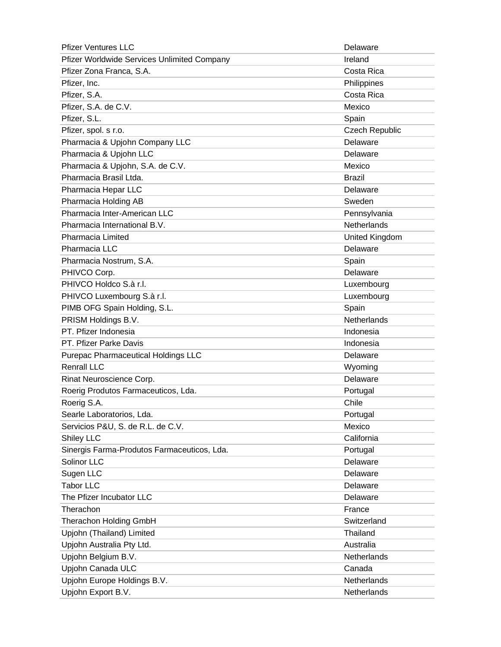| <b>Pfizer Ventures LLC</b>                         | Delaware              |
|----------------------------------------------------|-----------------------|
| <b>Pfizer Worldwide Services Unlimited Company</b> | Ireland               |
| Pfizer Zona Franca, S.A.                           | Costa Rica            |
| Pfizer, Inc.                                       | Philippines           |
| Pfizer, S.A.                                       | Costa Rica            |
| Pfizer, S.A. de C.V.                               | Mexico                |
| Pfizer, S.L.                                       | Spain                 |
| Pfizer, spol. s r.o.                               | <b>Czech Republic</b> |
| Pharmacia & Upjohn Company LLC                     | Delaware              |
| Pharmacia & Upjohn LLC                             | Delaware              |
| Pharmacia & Upjohn, S.A. de C.V.                   | Mexico                |
| Pharmacia Brasil Ltda.                             | <b>Brazil</b>         |
| Pharmacia Hepar LLC                                | Delaware              |
| Pharmacia Holding AB                               | Sweden                |
| Pharmacia Inter-American LLC                       | Pennsylvania          |
| Pharmacia International B.V.                       | Netherlands           |
| <b>Pharmacia Limited</b>                           | United Kingdom        |
| Pharmacia LLC                                      | Delaware              |
| Pharmacia Nostrum, S.A.                            | Spain                 |
| PHIVCO Corp.                                       | Delaware              |
| PHIVCO Holdco S.à r.l.                             | Luxembourg            |
| PHIVCO Luxembourg S.à r.l.                         | Luxembourg            |
| PIMB OFG Spain Holding, S.L.                       | Spain                 |
| PRISM Holdings B.V.                                | <b>Netherlands</b>    |
| PT. Pfizer Indonesia                               | Indonesia             |
| PT. Pfizer Parke Davis                             | Indonesia             |
| <b>Purepac Pharmaceutical Holdings LLC</b>         | Delaware              |
| <b>Renrall LLC</b>                                 | Wyoming               |
| Rinat Neuroscience Corp.                           | Delaware              |
| Roerig Produtos Farmaceuticos, Lda.                | Portugal              |
| Roerig S.A.                                        | Chile                 |
| Searle Laboratorios, Lda.                          | Portugal              |
| Servicios P&U, S. de R.L. de C.V.                  | Mexico                |
| Shiley LLC                                         | California            |
| Sinergis Farma-Produtos Farmaceuticos, Lda.        | Portugal              |
| Solinor LLC                                        | Delaware              |
| Sugen LLC                                          | Delaware              |
| <b>Tabor LLC</b>                                   | Delaware              |
| The Pfizer Incubator LLC                           | Delaware              |
| Therachon                                          | France                |
| Therachon Holding GmbH                             | Switzerland           |
| Upjohn (Thailand) Limited                          | Thailand              |
| Upjohn Australia Pty Ltd.                          | Australia             |
| Upjohn Belgium B.V.                                | Netherlands           |
| Upjohn Canada ULC                                  | Canada                |
| Upjohn Europe Holdings B.V.                        | Netherlands           |
| Upjohn Export B.V.                                 | Netherlands           |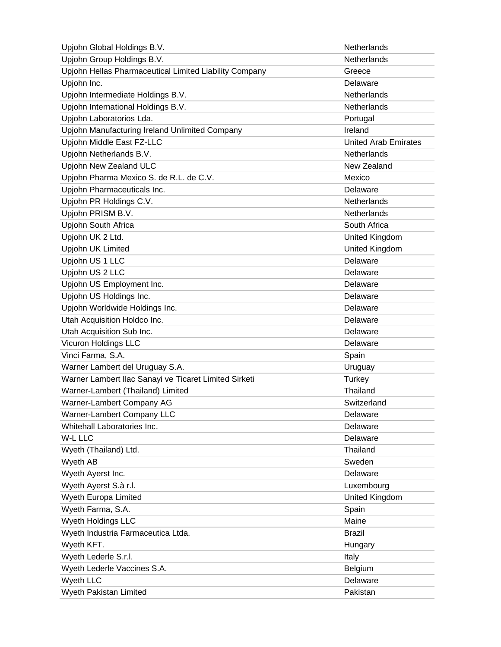| Upjohn Global Holdings B.V.                            | Netherlands                 |
|--------------------------------------------------------|-----------------------------|
| Upjohn Group Holdings B.V.                             | Netherlands                 |
| Upjohn Hellas Pharmaceutical Limited Liability Company | Greece                      |
| Upjohn Inc.                                            | Delaware                    |
| Upjohn Intermediate Holdings B.V.                      | Netherlands                 |
| Upjohn International Holdings B.V.                     | <b>Netherlands</b>          |
| Upjohn Laboratorios Lda.                               | Portugal                    |
| Upjohn Manufacturing Ireland Unlimited Company         | Ireland                     |
| Upjohn Middle East FZ-LLC                              | <b>United Arab Emirates</b> |
| Upjohn Netherlands B.V.                                | Netherlands                 |
| Upjohn New Zealand ULC                                 | New Zealand                 |
| Upjohn Pharma Mexico S. de R.L. de C.V.                | Mexico                      |
| Upjohn Pharmaceuticals Inc.                            | Delaware                    |
| Upjohn PR Holdings C.V.                                | Netherlands                 |
| Upjohn PRISM B.V.                                      | Netherlands                 |
| Upjohn South Africa                                    | South Africa                |
| Upjohn UK 2 Ltd.                                       | United Kingdom              |
| Upjohn UK Limited                                      | United Kingdom              |
| Upjohn US 1 LLC                                        | Delaware                    |
| Upjohn US 2 LLC                                        | Delaware                    |
| Upjohn US Employment Inc.                              | Delaware                    |
| Upjohn US Holdings Inc.                                | Delaware                    |
| Upjohn Worldwide Holdings Inc.                         | Delaware                    |
| Utah Acquisition Holdco Inc.                           | Delaware                    |
| Utah Acquisition Sub Inc.                              | Delaware                    |
| Vicuron Holdings LLC                                   | Delaware                    |
| Vinci Farma, S.A.                                      | Spain                       |
| Warner Lambert del Uruguay S.A.                        | Uruguay                     |
| Warner Lambert Ilac Sanayi ve Ticaret Limited Sirketi  | <b>Turkey</b>               |
| Warner-Lambert (Thailand) Limited                      | Thailand                    |
| Warner-Lambert Company AG                              | Switzerland                 |
| Warner-Lambert Company LLC                             | Delaware                    |
| Whitehall Laboratories Inc.                            | Delaware                    |
| W-L LLC                                                | Delaware                    |
| Wyeth (Thailand) Ltd.                                  | Thailand                    |
| Wyeth AB                                               | Sweden                      |
| Wyeth Ayerst Inc.                                      | Delaware                    |
| Wyeth Ayerst S.à r.l.                                  | Luxembourg                  |
| Wyeth Europa Limited                                   | United Kingdom              |
| Wyeth Farma, S.A.                                      | Spain                       |
| Wyeth Holdings LLC                                     | Maine                       |
| Wyeth Industria Farmaceutica Ltda.                     | <b>Brazil</b>               |
| Wyeth KFT.                                             | Hungary                     |
| Wyeth Lederle S.r.l.                                   | Italy                       |
| Wyeth Lederle Vaccines S.A.                            | Belgium                     |
| Wyeth LLC                                              | Delaware                    |
| Wyeth Pakistan Limited                                 | Pakistan                    |